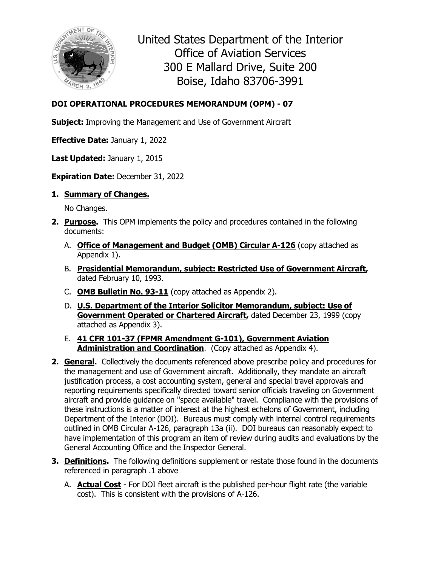

United States Department of the Interior Office of Aviation Services 300 E Mallard Drive, Suite 200 Boise, Idaho 83706-3991

## **DOI OPERATIONAL PROCEDURES MEMORANDUM (OPM) - 07**

**Subject:** Improving the Management and Use of Government Aircraft

**Effective Date:** January 1, 2022

**Last Updated:** January 1, 2015

**Expiration Date:** December 31, 2022

**1. Summary of Changes.**

No Changes.

- **2. Purpose.** This OPM implements the policy and procedures contained in the following documents:
	- A. **Office of Management and Budget (OMB) Circular A-126** (copy attached as Appendix 1).
	- B. **Presidential Memorandum, subject: Restricted Use of Government Aircraft,** dated February 10, 1993.
	- C. **OMB Bulletin No. 93-11** (copy attached as Appendix 2).
	- D. **U.S. Department of the Interior Solicitor Memorandum, subject: Use of Government Operated or Chartered Aircraft,** dated December 23, 1999 (copy attached as Appendix 3).
	- E. **41 CFR 101-37 (FPMR Amendment G-101), Government Aviation Administration and Coordination**. (Copy attached as Appendix 4).
- **2. General.** Collectively the documents referenced above prescribe policy and procedures for the management and use of Government aircraft. Additionally, they mandate an aircraft justification process, a cost accounting system, general and special travel approvals and reporting requirements specifically directed toward senior officials traveling on Government aircraft and provide guidance on "space available" travel. Compliance with the provisions of these instructions is a matter of interest at the highest echelons of Government, including Department of the Interior (DOI). Bureaus must comply with internal control requirements outlined in OMB Circular A-126, paragraph 13a (ii). DOI bureaus can reasonably expect to have implementation of this program an item of review during audits and evaluations by the General Accounting Office and the Inspector General.
- **3. Definitions.** The following definitions supplement or restate those found in the documents referenced in paragraph .1 above
	- A. **Actual Cost** For DOI fleet aircraft is the published per-hour flight rate (the variable cost). This is consistent with the provisions of A-126.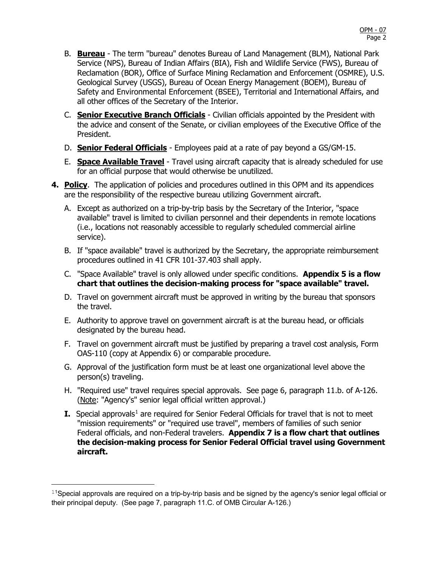- B. **Bureau** The term "bureau" denotes Bureau of Land Management (BLM), National Park Service (NPS), Bureau of Indian Affairs (BIA), Fish and Wildlife Service (FWS), Bureau of Reclamation (BOR), Office of Surface Mining Reclamation and Enforcement (OSMRE), U.S. Geological Survey (USGS), Bureau of Ocean Energy Management (BOEM), Bureau of Safety and Environmental Enforcement (BSEE), Territorial and International Affairs, and all other offices of the Secretary of the Interior.
- C. **Senior Executive Branch Officials** Civilian officials appointed by the President with the advice and consent of the Senate, or civilian employees of the Executive Office of the President.
- D. **Senior Federal Officials** Employees paid at a rate of pay beyond a GS/GM-15.
- E. **Space Available Travel** Travel using aircraft capacity that is already scheduled for use for an official purpose that would otherwise be unutilized.
- **4. Policy**. The application of policies and procedures outlined in this OPM and its appendices are the responsibility of the respective bureau utilizing Government aircraft.
	- A. Except as authorized on a trip-by-trip basis by the Secretary of the Interior, "space available" travel is limited to civilian personnel and their dependents in remote locations (i.e., locations not reasonably accessible to regularly scheduled commercial airline service).
	- B. If "space available" travel is authorized by the Secretary, the appropriate reimbursement procedures outlined in 41 CFR 101-37.403 shall apply.
	- C. "Space Available" travel is only allowed under specific conditions. **Appendix 5 is a flow chart that outlines the decision-making process for "space available" travel.**
	- D. Travel on government aircraft must be approved in writing by the bureau that sponsors the travel.
	- E. Authority to approve travel on government aircraft is at the bureau head, or officials designated by the bureau head.
	- F. Travel on government aircraft must be justified by preparing a travel cost analysis, Form OAS-110 (copy at Appendix 6) or comparable procedure.
	- G. Approval of the justification form must be at least one organizational level above the person(s) traveling.
	- H. "Required use" travel requires special approvals. See page 6, paragraph 11.b. of A-126. (Note: "Agency's" senior legal official written approval.)
	- **I.** Special approvals<sup>[1](#page-1-0)</sup> are required for Senior Federal Officials for travel that is not to meet "mission requirements" or "required use travel", members of families of such senior Federal officials, and non-Federal travelers. **Appendix 7 is a flow chart that outlines the decision-making process for Senior Federal Official travel using Government aircraft.**

<span id="page-1-0"></span> $11$ Special approvals are required on a trip-by-trip basis and be signed by the agency's senior legal official or their principal deputy. (See page 7, paragraph 11.C. of OMB Circular A-126.)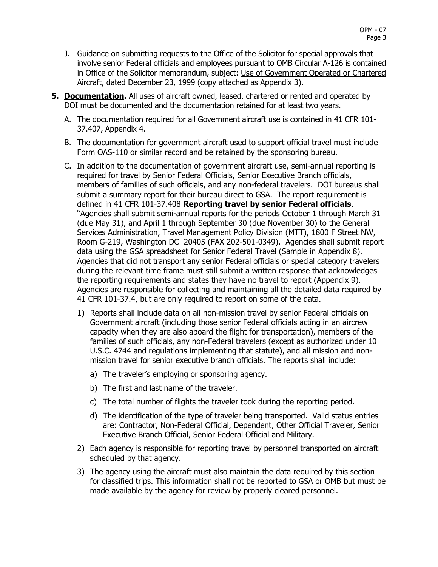- J. Guidance on submitting requests to the Office of the Solicitor for special approvals that involve senior Federal officials and employees pursuant to OMB Circular A-126 is contained in Office of the Solicitor memorandum, subject: Use of Government Operated or Chartered Aircraft, dated December 23, 1999 (copy attached as Appendix 3).
- **5. Documentation.** All uses of aircraft owned, leased, chartered or rented and operated by DOI must be documented and the documentation retained for at least two years.
	- A. The documentation required for all Government aircraft use is contained in 41 CFR 101- 37.407, Appendix 4.
	- B. The documentation for government aircraft used to support official travel must include Form OAS-110 or similar record and be retained by the sponsoring bureau.
	- C. In addition to the documentation of government aircraft use, semi-annual reporting is required for travel by Senior Federal Officials, Senior Executive Branch officials, members of families of such officials, and any non-federal travelers. DOI bureaus shall submit a summary report for their bureau direct to GSA. The report requirement is defined in 41 CFR 101-37.408 **Reporting travel by senior Federal officials**. "Agencies shall submit semi-annual reports for the periods October 1 through March 31 (due May 31), and April 1 through September 30 (due November 30) to the General Services Administration, Travel Management Policy Division (MTT), 1800 F Street NW, Room G-219, Washington DC 20405 (FAX 202-501-0349). Agencies shall submit report data using the GSA spreadsheet for Senior Federal Travel (Sample in Appendix 8). Agencies that did not transport any senior Federal officials or special category travelers during the relevant time frame must still submit a written response that acknowledges the reporting requirements and states they have no travel to report (Appendix 9). Agencies are responsible for collecting and maintaining all the detailed data required by 41 CFR 101-37.4, but are only required to report on some of the data.
		- 1) Reports shall include data on all non-mission travel by senior Federal officials on Government aircraft (including those senior Federal officials acting in an aircrew capacity when they are also aboard the flight for transportation), members of the families of such officials, any non-Federal travelers (except as authorized under 10 U.S.C. 4744 and regulations implementing that statute), and all mission and nonmission travel for senior executive branch officials. The reports shall include:
			- a) The traveler's employing or sponsoring agency.
			- b) The first and last name of the traveler.
			- c) The total number of flights the traveler took during the reporting period.
			- d) The identification of the type of traveler being transported. Valid status entries are: Contractor, Non-Federal Official, Dependent, Other Official Traveler, Senior Executive Branch Official, Senior Federal Official and Military.
		- 2) Each agency is responsible for reporting travel by personnel transported on aircraft scheduled by that agency.
		- 3) The agency using the aircraft must also maintain the data required by this section for classified trips. This information shall not be reported to GSA or OMB but must be made available by the agency for review by properly cleared personnel.